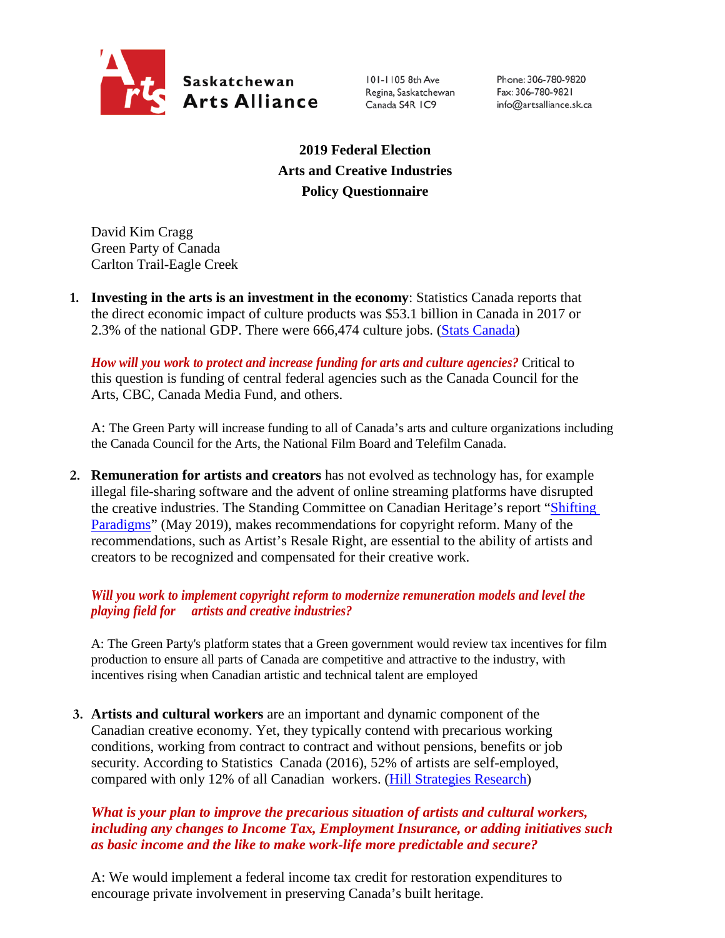

101-1105 8th Ave Regina, Saskatchewan Canada S4R IC9

Phone: 306-780-9820 Fax: 306-780-9821 info@artsalliance.sk.ca

**2019 Federal Election Arts and Creative Industries Policy Questionnaire**

David Kim Cragg Green Party of Canada Carlton Trail-Eagle Creek

**1. Investing in the arts is an investment in the economy**: Statistics Canada reports that the direct economic impact of culture products was \$53.1 billion in Canada in 2017 or 2.3% of the national GDP. There were 666,474 culture jobs. [\(Stats Canada\)](https://www.canada.ca/en/canadian-heritage/corporate/publications/general-publications/culture-satellite-account.html#a4-3)

*How will you work to protect and increase funding for arts and culture agencies?* Critical to this question is funding of central federal agencies such as the Canada Council for the Arts, CBC, Canada Media Fund, and others.

A: The Green Party will increase funding to all of Canada's arts and culture organizations including the Canada Council for the Arts, the National Film Board and Telefilm Canada.

**2. Remuneration for artists and creators** has not evolved as technology has, for example illegal file-sharing software and the advent of online streaming platforms have disrupted the creative industries. The Standing Committee on Canadian Heritage's report ["Shifting](https://www.ourcommons.ca/Content/Committee/421/CHPC/Reports/RP10481650/chpcrp19/chpcrp19-e.pdf)  [Paradigms"](https://www.ourcommons.ca/Content/Committee/421/CHPC/Reports/RP10481650/chpcrp19/chpcrp19-e.pdf) (May 2019), makes recommendations for copyright reform. Many of the recommendations, such as Artist's Resale Right, are essential to the ability of artists and creators to be recognized and compensated for their creative work.

## *Will you work to implement copyright reform to modernize remuneration models and level the playing field for artists and creative industries?*

A: The Green Party's platform states that a Green government would review tax incentives for film production to ensure all parts of Canada are competitive and attractive to the industry, with incentives rising when Canadian artistic and technical talent are employed

**3. Artists and cultural workers** are an important and dynamic component of the Canadian creative economy. Yet, they typically contend with precarious working conditions, working from contract to contract and without pensions, benefits or job security. According to Statistics Canada (2016), 52% of artists are self-employed, compared with only 12% of all Canadian workers. [\(Hill Strategies Research\)](https://hillstrategies.com/2019/07/31/a-statistical-profile-of-artists-in-canada-in-2016-with-summary-information-about-cultural-workers/)

## *What is your plan to improve the precarious situation of artists and cultural workers, including any changes to Income Tax, Employment Insurance, or adding initiatives such as basic income and the like to make work-life more predictable and secure?*

A: We would implement a federal income tax credit for restoration expenditures to encourage private involvement in preserving Canada's built heritage.